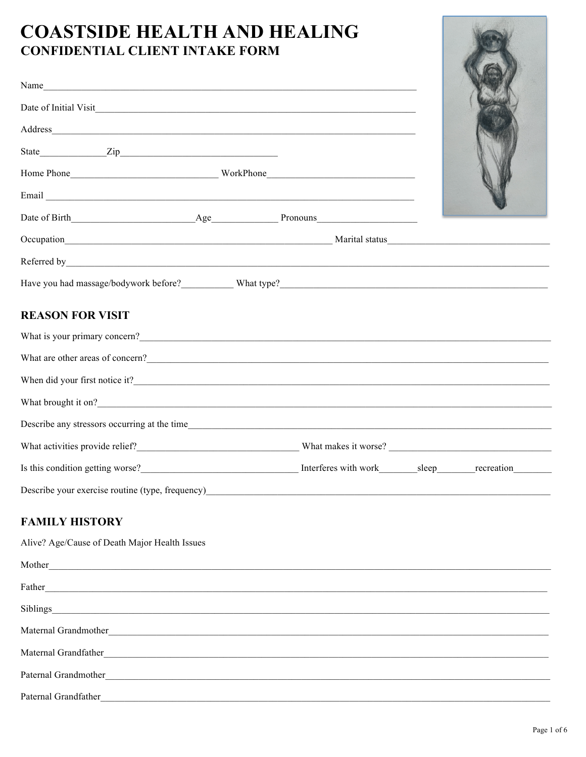# **COASTSIDE HEALTH AND HEALING CONFIDENTIAL CLIENT INTAKE FORM**

| Name                                                                                                                                                                                                                                  |  |  |
|---------------------------------------------------------------------------------------------------------------------------------------------------------------------------------------------------------------------------------------|--|--|
|                                                                                                                                                                                                                                       |  |  |
|                                                                                                                                                                                                                                       |  |  |
|                                                                                                                                                                                                                                       |  |  |
|                                                                                                                                                                                                                                       |  |  |
|                                                                                                                                                                                                                                       |  |  |
|                                                                                                                                                                                                                                       |  |  |
|                                                                                                                                                                                                                                       |  |  |
| Have you had massage/bodywork before?<br>What type?<br>What type?<br>Mixt type 2                                                                                                                                                      |  |  |
| <b>REASON FOR VISIT</b>                                                                                                                                                                                                               |  |  |
| What is your primary concern?<br><u> </u>                                                                                                                                                                                             |  |  |
| What are other areas of concern?<br><u>Concernative</u> materials are the set of concernative materials and the set of concernative materials and the set of concernative materials and the set of concernative materials and the set |  |  |
|                                                                                                                                                                                                                                       |  |  |
|                                                                                                                                                                                                                                       |  |  |
|                                                                                                                                                                                                                                       |  |  |
|                                                                                                                                                                                                                                       |  |  |
| Is this condition getting worse?<br><u>Interferes with work sleep</u> recreation recreation                                                                                                                                           |  |  |
| Describe your exercise routine (type, frequency)<br><u>Describe your exercise</u> routine (type, frequency)                                                                                                                           |  |  |

### **FAMILY HISTORY**

Alive? Age/Cause of Death Major Health Issues

| Mother<br><u> 1980 - Andrea Station, amerikan basal personal (b. 1980)</u>                                                                    |
|-----------------------------------------------------------------------------------------------------------------------------------------------|
| Father                                                                                                                                        |
| Siblings                                                                                                                                      |
| Maternal Grandmother                                                                                                                          |
| Maternal Grandfather<br><u> 1980 - Andrea State Barbara, amerikan personal di sebagai personal di sebagai personal di sebagai personal di</u> |
| Paternal Grandmother<br><u> 1980 - Jan Stein Stein Stein Stein Stein Stein Stein Stein Stein Stein Stein Stein Stein Stein Stein Stein S</u>  |
| Paternal Grandfather                                                                                                                          |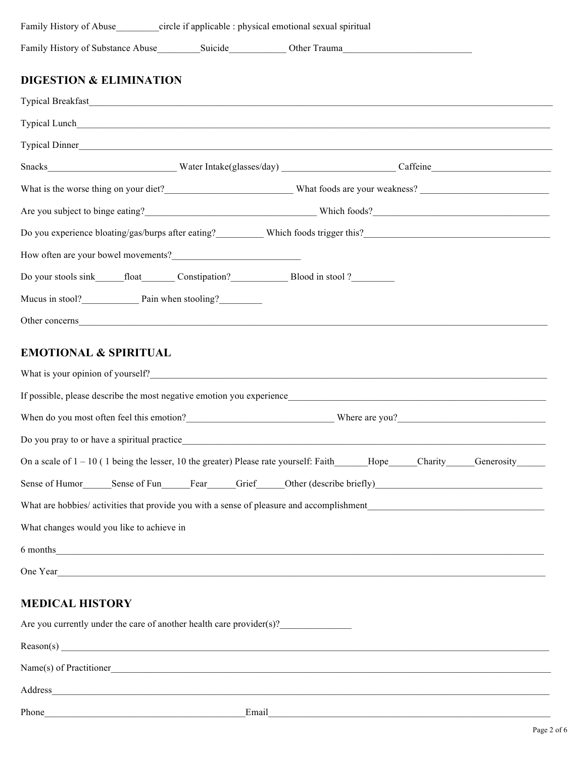| Family History of Abuse circle if applicable : physical emotional sexual spiritual                                                                                                                                             |  |  |
|--------------------------------------------------------------------------------------------------------------------------------------------------------------------------------------------------------------------------------|--|--|
|                                                                                                                                                                                                                                |  |  |
| <b>DIGESTION &amp; ELIMINATION</b>                                                                                                                                                                                             |  |  |
|                                                                                                                                                                                                                                |  |  |
|                                                                                                                                                                                                                                |  |  |
| Typical Dinner                                                                                                                                                                                                                 |  |  |
|                                                                                                                                                                                                                                |  |  |
| What is the worse thing on your diet?<br><u>UNEXA What foods</u> are your weakness?                                                                                                                                            |  |  |
| Are you subject to binge eating?<br><u>Examples</u> Which foods?<br>Unich foods?                                                                                                                                               |  |  |
|                                                                                                                                                                                                                                |  |  |
|                                                                                                                                                                                                                                |  |  |
|                                                                                                                                                                                                                                |  |  |
|                                                                                                                                                                                                                                |  |  |
| Other concerns expansion of the concerns of the contract of the concerns of the concerns of the contract of the contract of the contract of the contract of the contract of the contract of the contract of the contract of th |  |  |
| <b>EMOTIONAL &amp; SPIRITUAL</b>                                                                                                                                                                                               |  |  |
|                                                                                                                                                                                                                                |  |  |
| What is your opinion of yourself?                                                                                                                                                                                              |  |  |
| If possible, please describe the most negative emotion you experience                                                                                                                                                          |  |  |
| When do you most often feel this emotion?<br><u> Where are you?</u>                                                                                                                                                            |  |  |
| Do you pray to or have a spiritual practice                                                                                                                                                                                    |  |  |
| On a scale of 1 – 10 (1 being the lesser, 10 the greater) Please rate yourself: Faith_____Hope____Charity____Generosity_____                                                                                                   |  |  |
|                                                                                                                                                                                                                                |  |  |
|                                                                                                                                                                                                                                |  |  |
| What changes would you like to achieve in                                                                                                                                                                                      |  |  |
| 6 months                                                                                                                                                                                                                       |  |  |
|                                                                                                                                                                                                                                |  |  |

### **MEDICAL HISTORY**

| Are you currently under the care of another health care provider(s)? |       |  |
|----------------------------------------------------------------------|-------|--|
|                                                                      |       |  |
| Name(s) of Practitioner                                              |       |  |
| Address                                                              |       |  |
| Phone                                                                | Email |  |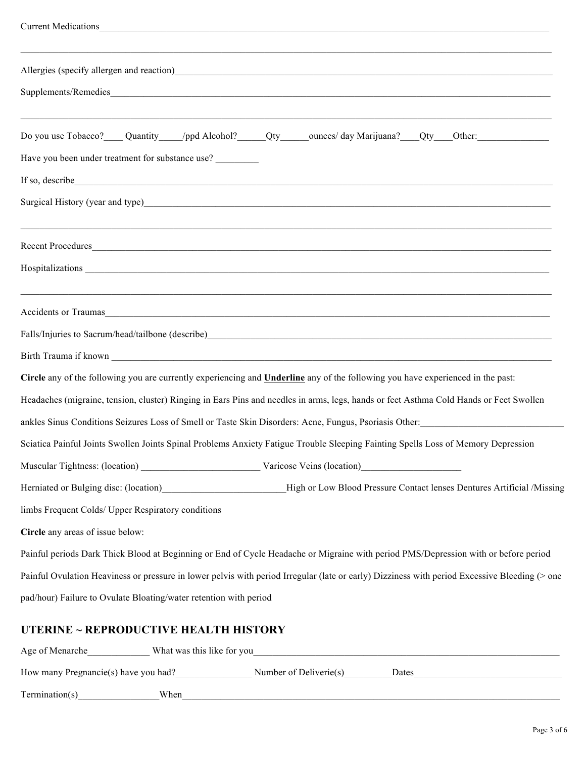| <b>Current Medications</b>                                                                                                                                                                                                     |
|--------------------------------------------------------------------------------------------------------------------------------------------------------------------------------------------------------------------------------|
|                                                                                                                                                                                                                                |
|                                                                                                                                                                                                                                |
| ,我们也不会有什么。""我们的人,我们也不会有什么?""我们的人,我们也不会有什么?""我们的人,我们也不会有什么?""我们的人,我们也不会有什么?""我们的人                                                                                                                                               |
| Have you been under treatment for substance use?                                                                                                                                                                               |
| If so, describe some service that the same service of the service service of the service of the service of the service of the service of the service of the service of the service of the service of the service of the servic |
| Surgical History (year and type) Surgical History (year and type)                                                                                                                                                              |
| Recent Procedures                                                                                                                                                                                                              |
|                                                                                                                                                                                                                                |
| ,我们也不能会有什么。""我们的人,我们也不能会有什么?""我们的人,我们也不能会有什么?""我们的人,我们也不能会有什么?""我们的人,我们也不能会有什么?""<br>Accidents or Traumas                                                                                                                      |
|                                                                                                                                                                                                                                |
|                                                                                                                                                                                                                                |
| Circle any of the following you are currently experiencing and <b>Underline</b> any of the following you have experienced in the past:                                                                                         |
| Headaches (migraine, tension, cluster) Ringing in Ears Pins and needles in arms, legs, hands or feet Asthma Cold Hands or Feet Swollen                                                                                         |
| ankles Sinus Conditions Seizures Loss of Smell or Taste Skin Disorders: Acne, Fungus, Psoriasis Other:                                                                                                                         |
| Sciatica Painful Joints Swollen Joints Spinal Problems Anxiety Fatigue Trouble Sleeping Fainting Spells Loss of Memory Depression                                                                                              |
|                                                                                                                                                                                                                                |
| High or Low Blood Pressure Contact lenses Dentures Artificial /Missing<br>Herniated or Bulging disc: (location)                                                                                                                |
| limbs Frequent Colds/ Upper Respiratory conditions                                                                                                                                                                             |
| Circle any areas of issue below:                                                                                                                                                                                               |
| Painful periods Dark Thick Blood at Beginning or End of Cycle Headache or Migraine with period PMS/Depression with or before period                                                                                            |
| Painful Ovulation Heaviness or pressure in lower pelvis with period Irregular (late or early) Dizziness with period Excessive Bleeding (> one                                                                                  |
| pad/hour) Failure to Ovulate Bloating/water retention with period                                                                                                                                                              |

## **UTERINE ~ REPRODUCTIVE HEALTH HISTORY**

| Age of Menarche                      | What was this like for you |                        |       |
|--------------------------------------|----------------------------|------------------------|-------|
| How many Pregnancie(s) have you had? |                            | Number of Deliverie(s) | Dates |
| Termination(s)                       | When                       |                        |       |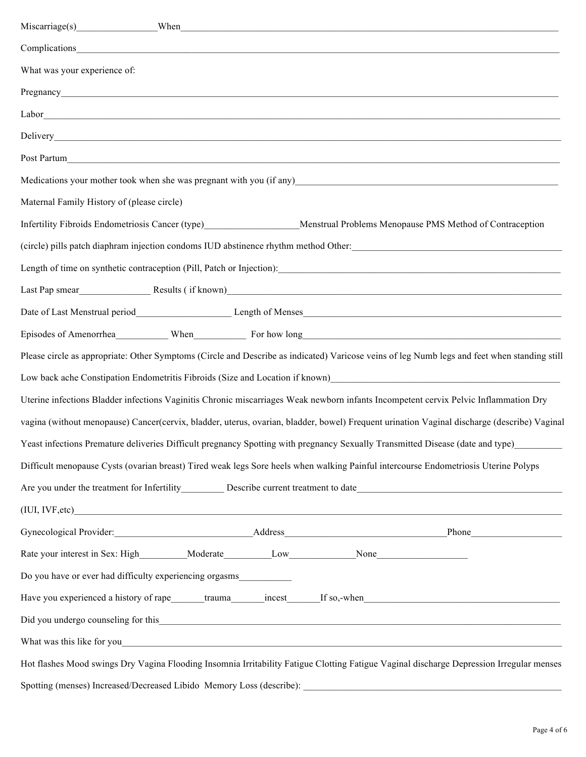| What was your experience of:                                                                                                                                                                                                     |
|----------------------------------------------------------------------------------------------------------------------------------------------------------------------------------------------------------------------------------|
|                                                                                                                                                                                                                                  |
|                                                                                                                                                                                                                                  |
|                                                                                                                                                                                                                                  |
|                                                                                                                                                                                                                                  |
|                                                                                                                                                                                                                                  |
| Maternal Family History of (please circle)                                                                                                                                                                                       |
| Infertility Fibroids Endometriosis Cancer (type)_______________________Menstrual Problems Menopause PMS Method of Contraception                                                                                                  |
| (circle) pills patch diaphram injection condoms IUD abstinence rhythm method Other:<br>Letter the condom and the condom of the condom and the condomnation of the condomnation of the condomnation of the condomnation of the co |
|                                                                                                                                                                                                                                  |
|                                                                                                                                                                                                                                  |
|                                                                                                                                                                                                                                  |
| Episodes of Amenorrhea When When For how long For how long                                                                                                                                                                       |
| Please circle as appropriate: Other Symptoms (Circle and Describe as indicated) Varicose veins of leg Numb legs and feet when standing still                                                                                     |
|                                                                                                                                                                                                                                  |
| Uterine infections Bladder infections Vaginitis Chronic miscarriages Weak newborn infants Incompetent cervix Pelvic Inflammation Dry                                                                                             |
| vagina (without menopause) Cancer(cervix, bladder, uterus, ovarian, bladder, bowel) Frequent urination Vaginal discharge (describe) Vaginal                                                                                      |
| Yeast infections Premature deliveries Difficult pregnancy Spotting with pregnancy Sexually Transmitted Disease (date and type)                                                                                                   |
| Difficult menopause Cysts (ovarian breast) Tired weak legs Sore heels when walking Painful intercourse Endometriosis Uterine Polyps                                                                                              |
|                                                                                                                                                                                                                                  |
| (IUI, IVF, etc)                                                                                                                                                                                                                  |
|                                                                                                                                                                                                                                  |
|                                                                                                                                                                                                                                  |
| Do you have or ever had difficulty experiencing orgasms                                                                                                                                                                          |
| Have you experienced a history of rape_______trauma______incest______If so,-when______________________________                                                                                                                   |
| Did you undergo counseling for this example of the state of the state of the state of the state of the state of the state of the state of the state of the state of the state of the state of the state of the state of the st   |
|                                                                                                                                                                                                                                  |
| Hot flashes Mood swings Dry Vagina Flooding Insomnia Irritability Fatigue Clotting Fatigue Vaginal discharge Depression Irregular menses                                                                                         |
|                                                                                                                                                                                                                                  |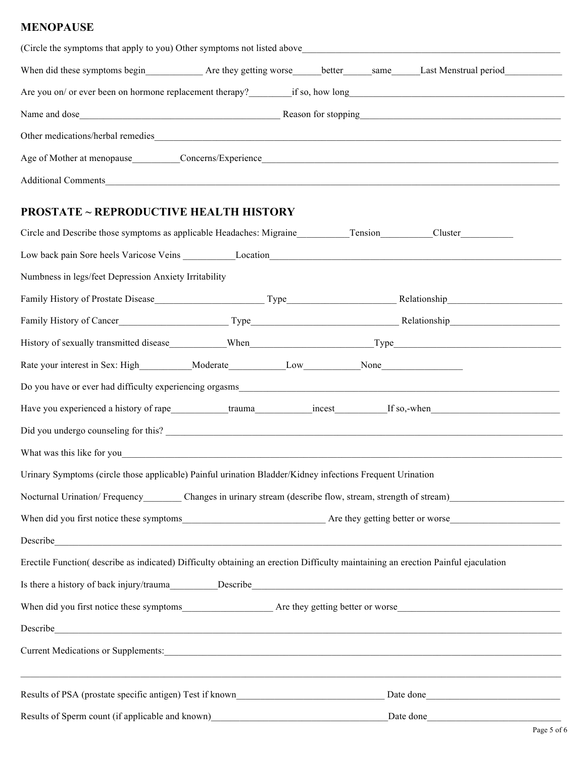#### **MENOPAUSE**

| (Circle the symptoms that apply to you) Other symptoms not listed above |                     |                     |      |                       |
|-------------------------------------------------------------------------|---------------------|---------------------|------|-----------------------|
| When did these symptoms begin Are they getting worse                    |                     | better              | same | Last Menstrual period |
| Are you on/ or ever been on hormone replacement therapy?                |                     | if so, how long     |      |                       |
| Name and dose                                                           |                     | Reason for stopping |      |                       |
| Other medications/herbal remedies                                       |                     |                     |      |                       |
| Age of Mother at menopause                                              | Concerns/Experience |                     |      |                       |
| <b>Additional Comments</b>                                              |                     |                     |      |                       |

### **PROSTATE ~ REPRODUCTIVE HEALTH HISTORY**

| Circle and Describe those symptoms as applicable Headaches: Migraine Tension                                                                                                                                                         |  |  |  |           |  |
|--------------------------------------------------------------------------------------------------------------------------------------------------------------------------------------------------------------------------------------|--|--|--|-----------|--|
|                                                                                                                                                                                                                                      |  |  |  |           |  |
| Numbness in legs/feet Depression Anxiety Irritability                                                                                                                                                                                |  |  |  |           |  |
|                                                                                                                                                                                                                                      |  |  |  |           |  |
|                                                                                                                                                                                                                                      |  |  |  |           |  |
|                                                                                                                                                                                                                                      |  |  |  |           |  |
| Rate your interest in Sex: High Moderate Low None                                                                                                                                                                                    |  |  |  |           |  |
|                                                                                                                                                                                                                                      |  |  |  |           |  |
| Have you experienced a history of rape trauma trauma incest If so,-when                                                                                                                                                              |  |  |  |           |  |
|                                                                                                                                                                                                                                      |  |  |  |           |  |
|                                                                                                                                                                                                                                      |  |  |  |           |  |
| Urinary Symptoms (circle those applicable) Painful urination Bladder/Kidney infections Frequent Urination                                                                                                                            |  |  |  |           |  |
| Nocturnal Urination/Frequency____________Changes in urinary stream (describe flow, stream, strength of stream)                                                                                                                       |  |  |  |           |  |
|                                                                                                                                                                                                                                      |  |  |  |           |  |
| Describe <u>and the contract of the contract of the contract of the contract of the contract of the contract of the contract of the contract of the contract of the contract of the contract of the contract of the contract of </u> |  |  |  |           |  |
| Erectile Function( describe as indicated) Difficulty obtaining an erection Difficulty maintaining an erection Painful ejaculation                                                                                                    |  |  |  |           |  |
|                                                                                                                                                                                                                                      |  |  |  |           |  |
|                                                                                                                                                                                                                                      |  |  |  |           |  |
| Describe <u>contract and the contract of the contract of the contract of the contract of the contract of the contract of the contract of the contract of the contract of the contract of the contract of the contract of the con</u> |  |  |  |           |  |
| Current Medications or Supplements: Current Medications or Supplements:                                                                                                                                                              |  |  |  |           |  |
|                                                                                                                                                                                                                                      |  |  |  |           |  |
| Results of Sperm count (if applicable and known)                                                                                                                                                                                     |  |  |  | Date done |  |